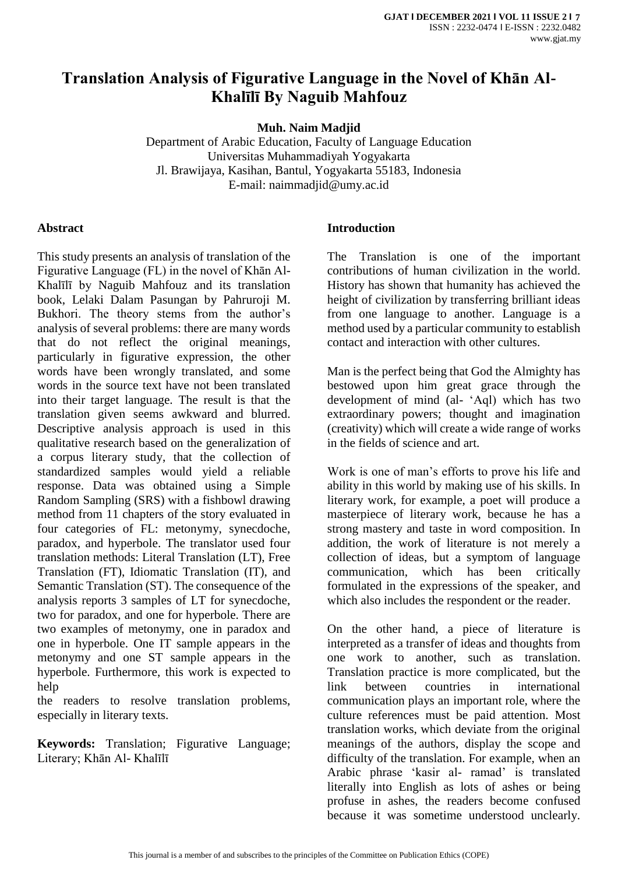## **Translation Analysis of Figurative Language in the Novel of Khān Al-Khalīlī By Naguib Mahfouz**

**Muh. Naim Madjid**

Department of Arabic Education, Faculty of Language Education Universitas Muhammadiyah Yogyakarta Jl. Brawijaya, Kasihan, Bantul, Yogyakarta 55183, Indonesia E-mail: naimmadjid@umy.ac.id

#### **Abstract**

This study presents an analysis of translation of the Figurative Language (FL) in the novel of Khān Al-Khalīlī by Naguib Mahfouz and its translation book, Lelaki Dalam Pasungan by Pahruroji M. Bukhori. The theory stems from the author's analysis of several problems: there are many words that do not reflect the original meanings, particularly in figurative expression, the other words have been wrongly translated, and some words in the source text have not been translated into their target language. The result is that the translation given seems awkward and blurred. Descriptive analysis approach is used in this qualitative research based on the generalization of a corpus literary study, that the collection of standardized samples would yield a reliable response. Data was obtained using a Simple Random Sampling (SRS) with a fishbowl drawing method from 11 chapters of the story evaluated in four categories of FL: metonymy, synecdoche, paradox, and hyperbole. The translator used four translation methods: Literal Translation (LT), Free Translation (FT), Idiomatic Translation (IT), and Semantic Translation (ST). The consequence of the analysis reports 3 samples of LT for synecdoche, two for paradox, and one for hyperbole. There are two examples of metonymy, one in paradox and one in hyperbole. One IT sample appears in the metonymy and one ST sample appears in the hyperbole. Furthermore, this work is expected to help

the readers to resolve translation problems, especially in literary texts.

**Keywords:** Translation; Figurative Language; Literary; Khān Al- Khalīlī

## **Introduction**

The Translation is one of the important contributions of human civilization in the world. History has shown that humanity has achieved the height of civilization by transferring brilliant ideas from one language to another. Language is a method used by a particular community to establish contact and interaction with other cultures.

Man is the perfect being that God the Almighty has bestowed upon him great grace through the development of mind (al- 'Aql) which has two extraordinary powers; thought and imagination (creativity) which will create a wide range of works in the fields of science and art.

Work is one of man's efforts to prove his life and ability in this world by making use of his skills. In literary work, for example, a poet will produce a masterpiece of literary work, because he has a strong mastery and taste in word composition. In addition, the work of literature is not merely a collection of ideas, but a symptom of language communication, which has been critically formulated in the expressions of the speaker, and which also includes the respondent or the reader.

On the other hand, a piece of literature is interpreted as a transfer of ideas and thoughts from one work to another, such as translation. Translation practice is more complicated, but the link between countries in international communication plays an important role, where the culture references must be paid attention. Most translation works, which deviate from the original meanings of the authors, display the scope and difficulty of the translation. For example, when an Arabic phrase 'kasir al- ramad' is translated literally into English as lots of ashes or being profuse in ashes, the readers become confused because it was sometime understood unclearly.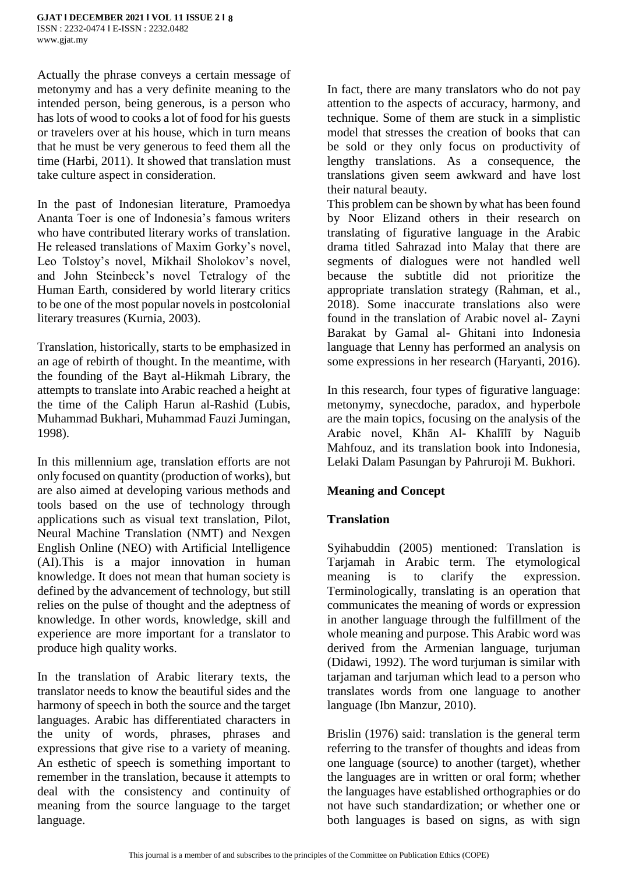Actually the phrase conveys a certain message of metonymy and has a very definite meaning to the intended person, being generous, is a person who has lots of wood to cooks a lot of food for his guests or travelers over at his house, which in turn means that he must be very generous to feed them all the time (Harbi, 2011). It showed that translation must take culture aspect in consideration.

In the past of Indonesian literature, Pramoedya Ananta Toer is one of Indonesia's famous writers who have contributed literary works of translation. He released translations of Maxim Gorky's novel, Leo Tolstoy's novel, Mikhail Sholokov's novel, and John Steinbeck's novel Tetralogy of the Human Earth, considered by world literary critics to be one of the most popular novels in postcolonial literary treasures (Kurnia, 2003).

Translation, historically, starts to be emphasized in an age of rebirth of thought. In the meantime, with the founding of the Bayt al-Hikmah Library, the attempts to translate into Arabic reached a height at the time of the Caliph Harun al-Rashid (Lubis, Muhammad Bukhari, Muhammad Fauzi Jumingan, 1998).

In this millennium age, translation efforts are not only focused on quantity (production of works), but are also aimed at developing various methods and tools based on the use of technology through applications such as visual text translation, Pilot, Neural Machine Translation (NMT) and Nexgen English Online (NEO) with Artificial Intelligence (AI).This is a major innovation in human knowledge. It does not mean that human society is defined by the advancement of technology, but still relies on the pulse of thought and the adeptness of knowledge. In other words, knowledge, skill and experience are more important for a translator to produce high quality works.

In the translation of Arabic literary texts, the translator needs to know the beautiful sides and the harmony of speech in both the source and the target languages. Arabic has differentiated characters in the unity of words, phrases, phrases and expressions that give rise to a variety of meaning. An esthetic of speech is something important to remember in the translation, because it attempts to deal with the consistency and continuity of meaning from the source language to the target language.

In fact, there are many translators who do not pay attention to the aspects of accuracy, harmony, and technique. Some of them are stuck in a simplistic model that stresses the creation of books that can be sold or they only focus on productivity of lengthy translations. As a consequence, the translations given seem awkward and have lost their natural beauty.

This problem can be shown by what has been found by Noor Elizand others in their research on translating of figurative language in the Arabic drama titled Sahrazad into Malay that there are segments of dialogues were not handled well because the subtitle did not prioritize the appropriate translation strategy (Rahman, et al., 2018). Some inaccurate translations also were found in the translation of Arabic novel al- Zayni Barakat by Gamal al- Ghitani into Indonesia language that Lenny has performed an analysis on some expressions in her research (Haryanti, 2016).

In this research, four types of figurative language: metonymy, synecdoche, paradox, and hyperbole are the main topics, focusing on the analysis of the Arabic novel, Khān Al- Khalīlī by Naguib Mahfouz, and its translation book into Indonesia, Lelaki Dalam Pasungan by Pahruroji M. Bukhori.

## **Meaning and Concept**

## **Translation**

Syihabuddin (2005) mentioned: Translation is Tarjamah in Arabic term. The etymological meaning is to clarify the expression. Terminologically, translating is an operation that communicates the meaning of words or expression in another language through the fulfillment of the whole meaning and purpose. This Arabic word was derived from the Armenian language, turjuman (Didawi, 1992). The word turjuman is similar with tarjaman and tarjuman which lead to a person who translates words from one language to another language (Ibn Manzur, 2010).

Brislin (1976) said: translation is the general term referring to the transfer of thoughts and ideas from one language (source) to another (target), whether the languages are in written or oral form; whether the languages have established orthographies or do not have such standardization; or whether one or both languages is based on signs, as with sign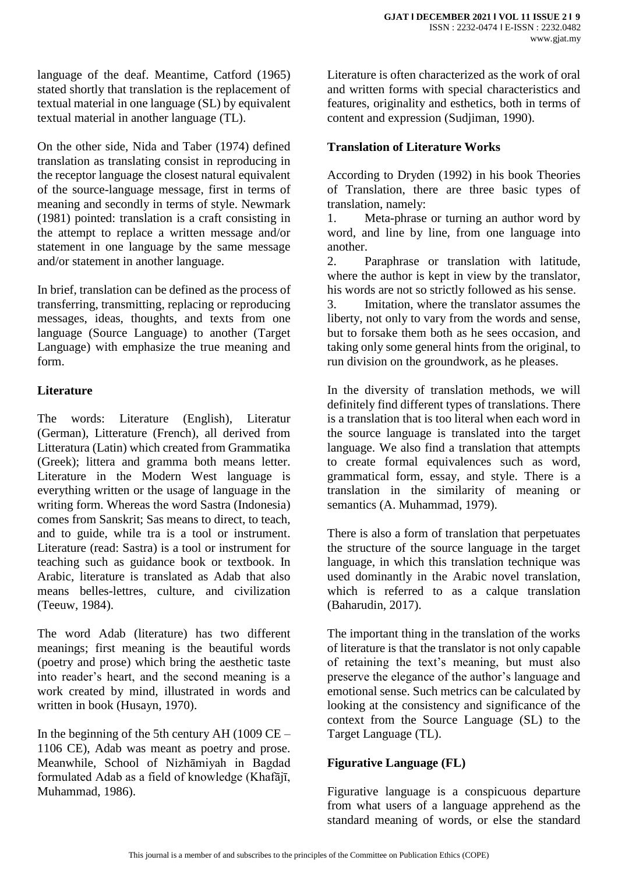language of the deaf. Meantime, Catford (1965) stated shortly that translation is the replacement of textual material in one language (SL) by equivalent textual material in another language (TL).

On the other side, Nida and Taber (1974) defined translation as translating consist in reproducing in the receptor language the closest natural equivalent of the source-language message, first in terms of meaning and secondly in terms of style. Newmark (1981) pointed: translation is a craft consisting in the attempt to replace a written message and/or statement in one language by the same message and/or statement in another language.

In brief, translation can be defined as the process of transferring, transmitting, replacing or reproducing messages, ideas, thoughts, and texts from one language (Source Language) to another (Target Language) with emphasize the true meaning and form.

## **Literature**

The words: Literature (English), Literatur (German), Litterature (French), all derived from Litteratura (Latin) which created from Grammatika (Greek); littera and gramma both means letter. Literature in the Modern West language is everything written or the usage of language in the writing form. Whereas the word Sastra (Indonesia) comes from Sanskrit; Sas means to direct, to teach, and to guide, while tra is a tool or instrument. Literature (read: Sastra) is a tool or instrument for teaching such as guidance book or textbook. In Arabic, literature is translated as Adab that also means belles-lettres, culture, and civilization (Teeuw, 1984).

The word Adab (literature) has two different meanings; first meaning is the beautiful words (poetry and prose) which bring the aesthetic taste into reader's heart, and the second meaning is a work created by mind, illustrated in words and written in book (Husayn, 1970).

In the beginning of the 5th century AH (1009  $CE -$ 1106 CE), Adab was meant as poetry and prose. Meanwhile, School of Nizhāmiyah in Bagdad formulated Adab as a field of knowledge (Khafājī, Muhammad, 1986).

Literature is often characterized as the work of oral and written forms with special characteristics and features, originality and esthetics, both in terms of content and expression (Sudjiman, 1990).

## **Translation of Literature Works**

According to Dryden (1992) in his book Theories of Translation, there are three basic types of translation, namely:

1. Meta-phrase or turning an author word by word, and line by line, from one language into another.

2. Paraphrase or translation with latitude, where the author is kept in view by the translator, his words are not so strictly followed as his sense.

3. Imitation, where the translator assumes the liberty, not only to vary from the words and sense, but to forsake them both as he sees occasion, and taking only some general hints from the original, to run division on the groundwork, as he pleases.

In the diversity of translation methods, we will definitely find different types of translations. There is a translation that is too literal when each word in the source language is translated into the target language. We also find a translation that attempts to create formal equivalences such as word, grammatical form, essay, and style. There is a translation in the similarity of meaning or semantics (A. Muhammad, 1979).

There is also a form of translation that perpetuates the structure of the source language in the target language, in which this translation technique was used dominantly in the Arabic novel translation, which is referred to as a calque translation (Baharudin, 2017).

The important thing in the translation of the works of literature is that the translator is not only capable of retaining the text's meaning, but must also preserve the elegance of the author's language and emotional sense. Such metrics can be calculated by looking at the consistency and significance of the context from the Source Language (SL) to the Target Language (TL).

## **Figurative Language (FL)**

Figurative language is a conspicuous departure from what users of a language apprehend as the standard meaning of words, or else the standard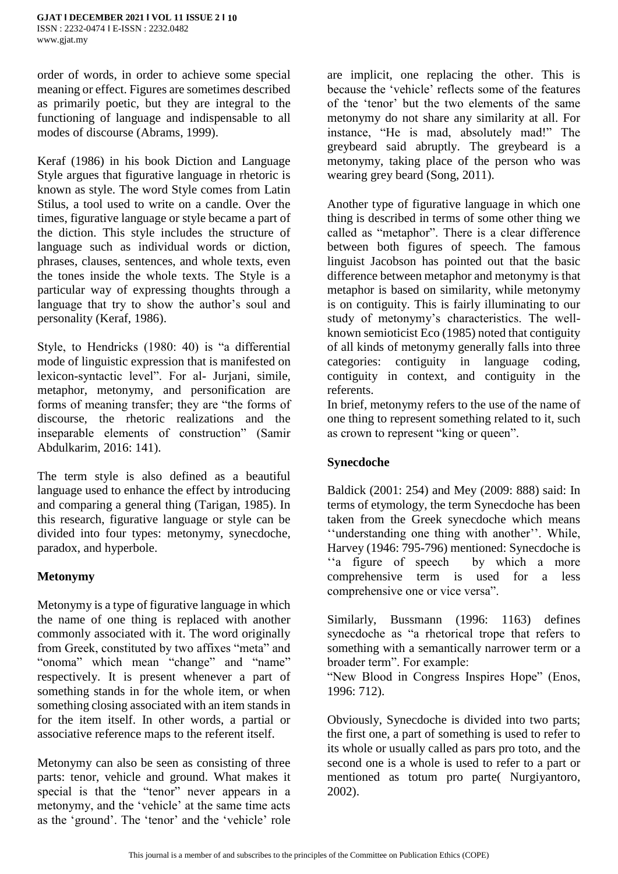order of words, in order to achieve some special meaning or effect. Figures are sometimes described as primarily poetic, but they are integral to the functioning of language and indispensable to all modes of discourse (Abrams, 1999).

Keraf (1986) in his book Diction and Language Style argues that figurative language in rhetoric is known as style. The word Style comes from Latin Stilus, a tool used to write on a candle. Over the times, figurative language or style became a part of the diction. This style includes the structure of language such as individual words or diction, phrases, clauses, sentences, and whole texts, even the tones inside the whole texts. The Style is a particular way of expressing thoughts through a language that try to show the author's soul and personality (Keraf, 1986).

Style, to Hendricks (1980: 40) is "a differential mode of linguistic expression that is manifested on lexicon-syntactic level". For al- Jurjani, simile, metaphor, metonymy, and personification are forms of meaning transfer; they are "the forms of discourse, the rhetoric realizations and the inseparable elements of construction" (Samir Abdulkarim, 2016: 141).

The term style is also defined as a beautiful language used to enhance the effect by introducing and comparing a general thing (Tarigan, 1985). In this research, figurative language or style can be divided into four types: metonymy, synecdoche, paradox, and hyperbole.

## **Metonymy**

Metonymy is a type of figurative language in which the name of one thing is replaced with another commonly associated with it. The word originally from Greek, constituted by two affixes "meta" and "onoma" which mean "change" and "name" respectively. It is present whenever a part of something stands in for the whole item, or when something closing associated with an item stands in for the item itself. In other words, a partial or associative reference maps to the referent itself.

Metonymy can also be seen as consisting of three parts: tenor, vehicle and ground. What makes it special is that the "tenor" never appears in a metonymy, and the 'vehicle' at the same time acts as the 'ground'. The 'tenor' and the 'vehicle' role are implicit, one replacing the other. This is because the 'vehicle' reflects some of the features of the 'tenor' but the two elements of the same metonymy do not share any similarity at all. For instance, "He is mad, absolutely mad!" The greybeard said abruptly. The greybeard is a metonymy, taking place of the person who was wearing grey beard (Song, 2011).

Another type of figurative language in which one thing is described in terms of some other thing we called as "metaphor". There is a clear difference between both figures of speech. The famous linguist Jacobson has pointed out that the basic difference between metaphor and metonymy is that metaphor is based on similarity, while metonymy is on contiguity. This is fairly illuminating to our study of metonymy's characteristics. The wellknown semioticist Eco (1985) noted that contiguity of all kinds of metonymy generally falls into three categories: contiguity in language coding, contiguity in context, and contiguity in the referents.

In brief, metonymy refers to the use of the name of one thing to represent something related to it, such as crown to represent "king or queen".

## **Synecdoche**

Baldick (2001: 254) and Mey (2009: 888) said: In terms of etymology, the term Synecdoche has been taken from the Greek synecdoche which means ''understanding one thing with another''. While, Harvey (1946: 795-796) mentioned: Synecdoche is ''a figure of speech by which a more comprehensive term is used for a less comprehensive one or vice versa".

Similarly, Bussmann (1996: 1163) defines synecdoche as "a rhetorical trope that refers to something with a semantically narrower term or a broader term". For example:

"New Blood in Congress Inspires Hope" (Enos, 1996: 712).

Obviously, Synecdoche is divided into two parts; the first one, a part of something is used to refer to its whole or usually called as pars pro toto, and the second one is a whole is used to refer to a part or mentioned as totum pro parte( Nurgiyantoro, 2002).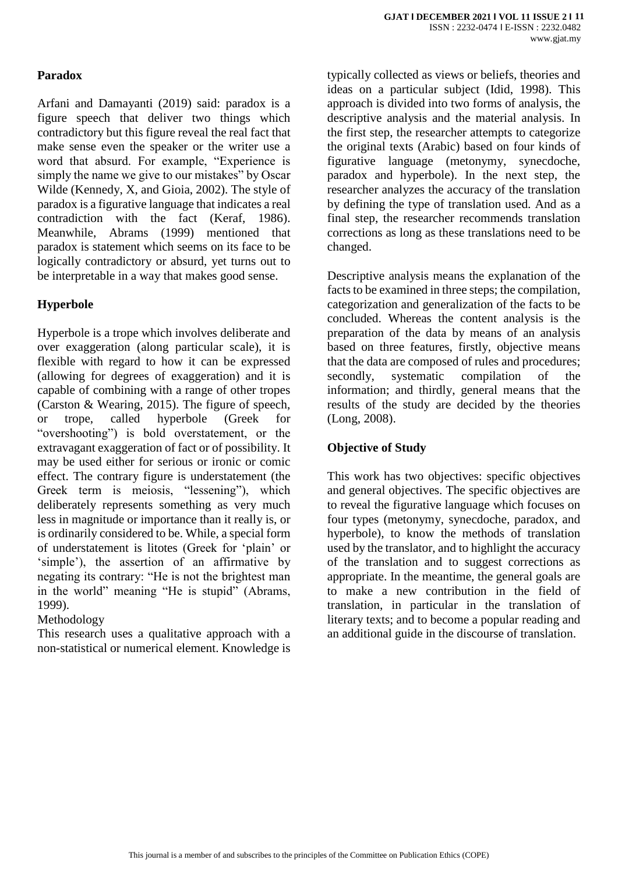## **Paradox**

Arfani and Damayanti (2019) said: paradox is a figure speech that deliver two things which contradictory but this figure reveal the real fact that make sense even the speaker or the writer use a word that absurd. For example, "Experience is simply the name we give to our mistakes" by Oscar Wilde (Kennedy, X, and Gioia, 2002). The style of paradox is a figurative language that indicates a real contradiction with the fact (Keraf, 1986). Meanwhile, Abrams (1999) mentioned that paradox is statement which seems on its face to be logically contradictory or absurd, yet turns out to be interpretable in a way that makes good sense.

## **Hyperbole**

Hyperbole is a trope which involves deliberate and over exaggeration (along particular scale), it is flexible with regard to how it can be expressed (allowing for degrees of exaggeration) and it is capable of combining with a range of other tropes (Carston & Wearing, 2015). The figure of speech, or trope, called hyperbole (Greek for "overshooting") is bold overstatement, or the extravagant exaggeration of fact or of possibility. It may be used either for serious or ironic or comic effect. The contrary figure is understatement (the Greek term is meiosis, "lessening"), which deliberately represents something as very much less in magnitude or importance than it really is, or is ordinarily considered to be. While, a special form of understatement is litotes (Greek for 'plain' or 'simple'), the assertion of an affirmative by negating its contrary: "He is not the brightest man in the world" meaning "He is stupid" (Abrams, 1999).

## Methodology

This research uses a qualitative approach with a non-statistical or numerical element. Knowledge is

typically collected as views or beliefs, theories and ideas on a particular subject (Idid, 1998). This approach is divided into two forms of analysis, the descriptive analysis and the material analysis. In the first step, the researcher attempts to categorize the original texts (Arabic) based on four kinds of figurative language (metonymy, synecdoche, paradox and hyperbole). In the next step, the researcher analyzes the accuracy of the translation by defining the type of translation used. And as a final step, the researcher recommends translation corrections as long as these translations need to be changed.

Descriptive analysis means the explanation of the facts to be examined in three steps; the compilation, categorization and generalization of the facts to be concluded. Whereas the content analysis is the preparation of the data by means of an analysis based on three features, firstly, objective means that the data are composed of rules and procedures; secondly, systematic compilation of the information; and thirdly, general means that the results of the study are decided by the theories (Long, 2008).

## **Objective of Study**

This work has two objectives: specific objectives and general objectives. The specific objectives are to reveal the figurative language which focuses on four types (metonymy, synecdoche, paradox, and hyperbole), to know the methods of translation used by the translator, and to highlight the accuracy of the translation and to suggest corrections as appropriate. In the meantime, the general goals are to make a new contribution in the field of translation, in particular in the translation of literary texts; and to become a popular reading and an additional guide in the discourse of translation.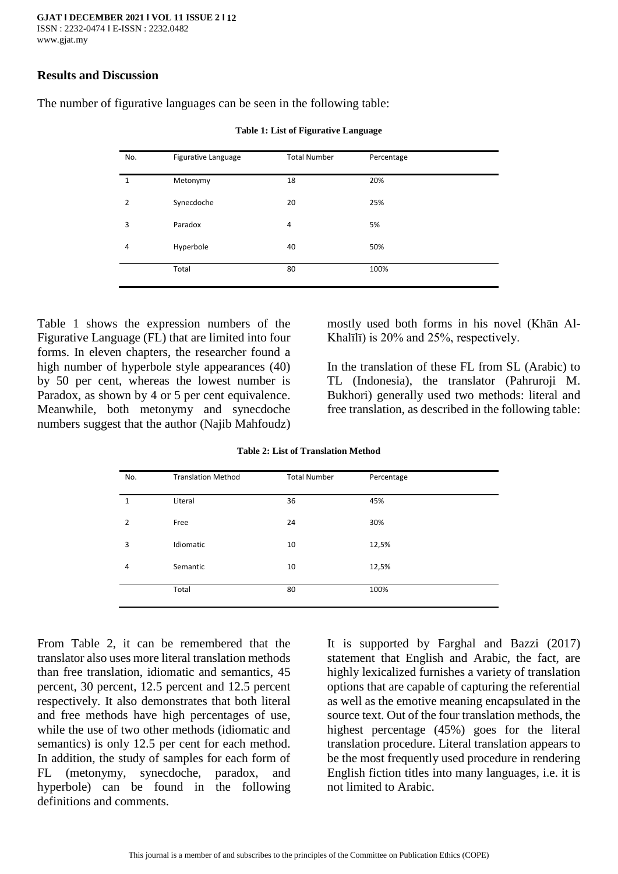#### **Results and Discussion**

The number of figurative languages can be seen in the following table:

| No.            | Figurative Language | <b>Total Number</b> | Percentage |  |
|----------------|---------------------|---------------------|------------|--|
| 1              | Metonymy            | 18                  | 20%        |  |
| $\overline{2}$ | Synecdoche          | 20                  | 25%        |  |
| 3              | Paradox             | $\overline{4}$      | 5%         |  |
| 4              | Hyperbole           | 40                  | 50%        |  |
|                | Total               | 80                  | 100%       |  |

**Table 1: List of Figurative Language**

Table 1 shows the expression numbers of the Figurative Language (FL) that are limited into four forms. In eleven chapters, the researcher found a high number of hyperbole style appearances (40) by 50 per cent, whereas the lowest number is Paradox, as shown by 4 or 5 per cent equivalence. Meanwhile, both metonymy and synecdoche numbers suggest that the author (Najib Mahfoudz)

mostly used both forms in his novel (Khān Al-Khalīlī) is 20% and 25%, respectively.

In the translation of these FL from SL (Arabic) to TL (Indonesia), the translator (Pahruroji M. Bukhori) generally used two methods: literal and free translation, as described in the following table:

| No.            | <b>Translation Method</b> | <b>Total Number</b> | Percentage |  |
|----------------|---------------------------|---------------------|------------|--|
| 1              | Literal                   | 36                  | 45%        |  |
| $\overline{2}$ | Free                      | 24                  | 30%        |  |
| 3              | Idiomatic                 | 10                  | 12,5%      |  |
| 4              | Semantic                  | 10                  | 12,5%      |  |
|                | Total                     | 80                  | 100%       |  |

**Table 2: List of Translation Method**

From Table 2, it can be remembered that the translator also uses more literal translation methods than free translation, idiomatic and semantics, 45 percent, 30 percent, 12.5 percent and 12.5 percent respectively. It also demonstrates that both literal and free methods have high percentages of use, while the use of two other methods (idiomatic and semantics) is only 12.5 per cent for each method. In addition, the study of samples for each form of FL (metonymy, synecdoche, paradox, and hyperbole) can be found in the following definitions and comments.

It is supported by Farghal and Bazzi (2017) statement that English and Arabic, the fact, are highly lexicalized furnishes a variety of translation options that are capable of capturing the referential as well as the emotive meaning encapsulated in the source text. Out of the four translation methods, the highest percentage (45%) goes for the literal translation procedure. Literal translation appears to be the most frequently used procedure in rendering English fiction titles into many languages, i.e. it is not limited to Arabic.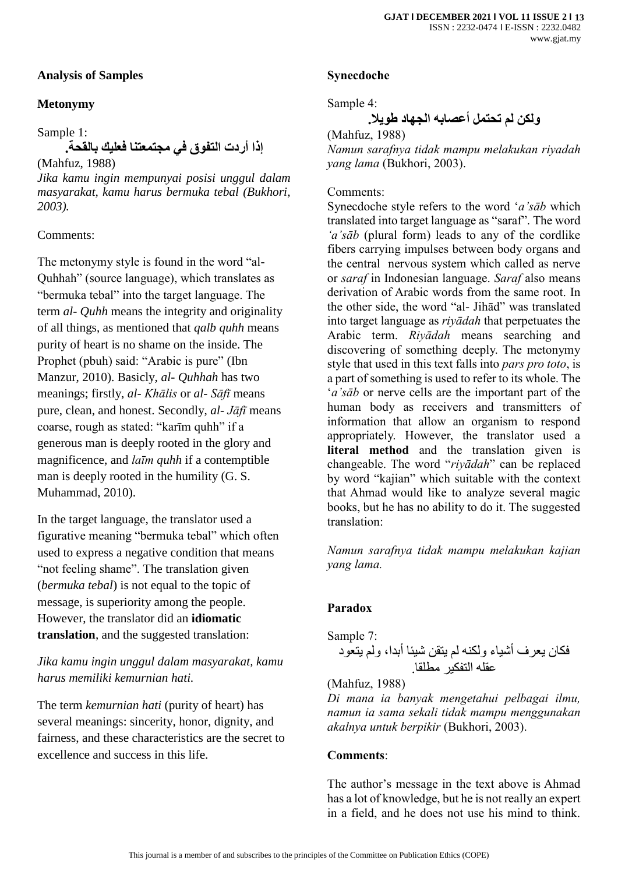## **Analysis of Samples**

## **Metonymy**

Sample 1:

**إذا أردت التفوق في مجتمعتنا فعليك بالقحة.**

(Mahfuz, 1988) *Jika kamu ingin mempunyai posisi unggul dalam masyarakat, kamu harus bermuka tebal (Bukhori, 2003).*

## Comments:

The metonymy style is found in the word "al-Quhhah" (source language), which translates as "bermuka tebal" into the target language. The term *al- Quhh* means the integrity and originality of all things, as mentioned that *qalb quhh* means purity of heart is no shame on the inside. The Prophet (pbuh) said: "Arabic is pure" (Ibn Manzur, 2010). Basicly, *al- Quhhah* has two meanings; firstly, *al- Khālis* or *al- Sāfī* means pure, clean, and honest. Secondly, *al- Jāfī* means coarse, rough as stated: "karīm quhh" if a generous man is deeply rooted in the glory and magnificence, and *laīm quhh* if a contemptible man is deeply rooted in the humility (G. S. Muhammad, 2010).

In the target language, the translator used a figurative meaning "bermuka tebal" which often used to express a negative condition that means "not feeling shame". The translation given (*bermuka tebal*) is not equal to the topic of message, is superiority among the people. However, the translator did an **idiomatic translation**, and the suggested translation:

*Jika kamu ingin unggul dalam masyarakat, kamu harus memiliki kemurnian hati.*

The term *kemurnian hati* (purity of heart) has several meanings: sincerity, honor, dignity, and fairness, and these characteristics are the secret to excellence and success in this life.

## **Synecdoche**

Sample 4:

**ولكن لم تحتمل أعصابه الجهاد طويال.**

(Mahfuz, 1988)

*Namun sarafnya tidak mampu melakukan riyadah yang lama* (Bukhori, 2003).

#### Comments:

Synecdoche style refers to the word '*a'sāb* which translated into target language as "saraf". The word *'a'sāb* (plural form) leads to any of the cordlike fibers carrying impulses between body organs and the central nervous system which called as nerve or *saraf* in Indonesian language. *Saraf* also means derivation of Arabic words from the same root. In the other side, the word "al- Jihād" was translated into target language as *riyādah* that perpetuates the Arabic term. *Riyādah* means searching and discovering of something deeply. The metonymy style that used in this text falls into *pars pro toto*, is a part of something is used to refer to its whole. The '*a'sāb* or nerve cells are the important part of the human body as receivers and transmitters of information that allow an organism to respond appropriately. However, the translator used a **literal method** and the translation given is changeable. The word "*riyādah*" can be replaced by word "kajian" which suitable with the context that Ahmad would like to analyze several magic books, but he has no ability to do it. The suggested translation:

*Namun sarafnya tidak mampu melakukan kajian yang lama.*

## **Paradox**

Sample 7: فكان يعرف أشياء ولكنه لم يتقن شيئا أبدا، ولم يتعود عقله التفكير مطلقا.

(Mahfuz, 1988)

*Di mana ia banyak mengetahui pelbagai ilmu, namun ia sama sekali tidak mampu menggunakan akalnya untuk berpikir* (Bukhori, 2003).

## **Comments**:

The author's message in the text above is Ahmad has a lot of knowledge, but he is not really an expert in a field, and he does not use his mind to think.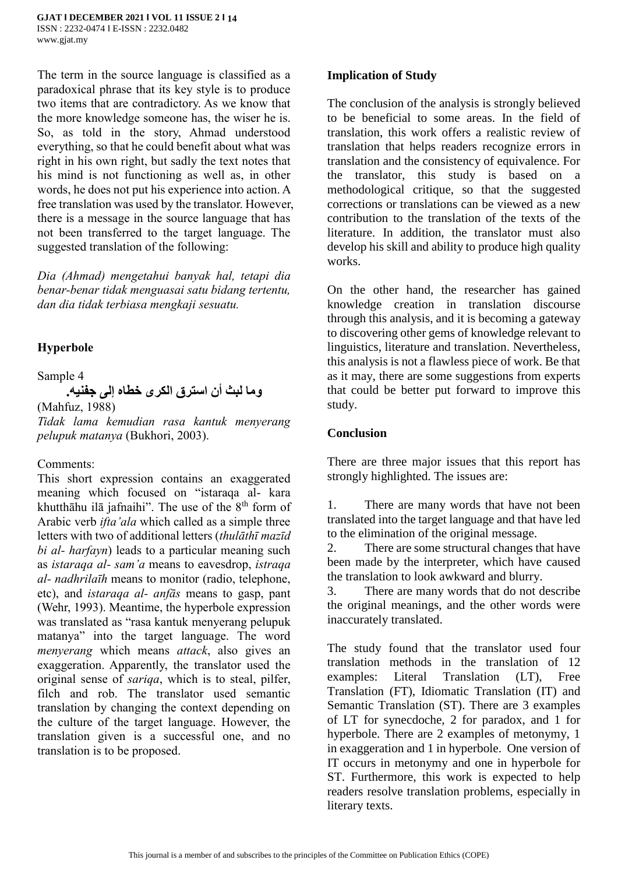The term in the source language is classified as a paradoxical phrase that its key style is to produce two items that are contradictory. As we know that the more knowledge someone has, the wiser he is. So, as told in the story, Ahmad understood everything, so that he could benefit about what was right in his own right, but sadly the text notes that his mind is not functioning as well as, in other words, he does not put his experience into action. A free translation was used by the translator. However, there is a message in the source language that has not been transferred to the target language. The suggested translation of the following:

*Dia (Ahmad) mengetahui banyak hal, tetapi dia benar-benar tidak menguasai satu bidang tertentu, dan dia tidak terbiasa mengkaji sesuatu.*

## **Hyperbole**

Sample 4

# **وما لبث أن استرق الكرى خطاه إلى جفنيه.**

(Mahfuz, 1988)

*Tidak lama kemudian rasa kantuk menyerang pelupuk matanya* (Bukhori, 2003).

#### Comments:

This short expression contains an exaggerated meaning which focused on "istaraqa al- kara khutthāhu ilā jafnaihi". The use of the  $8<sup>th</sup>$  form of Arabic verb *ifta'ala* which called as a simple three letters with two of additional letters (*thulāthī mazīd bi al- harfayn*) leads to a particular meaning such as *istaraqa al- sam'a* means to eavesdrop, *istraqa al- nadhrilaīh* means to monitor (radio, telephone, etc), and *istaraqa al- anfās* means to gasp, pant (Wehr, 1993). Meantime, the hyperbole expression was translated as "rasa kantuk menyerang pelupuk matanya" into the target language. The word *menyerang* which means *attack*, also gives an exaggeration. Apparently, the translator used the original sense of *sariqa*, which is to steal, pilfer, filch and rob. The translator used semantic translation by changing the context depending on the culture of the target language. However, the translation given is a successful one, and no translation is to be proposed.

## **Implication of Study**

The conclusion of the analysis is strongly believed to be beneficial to some areas. In the field of translation, this work offers a realistic review of translation that helps readers recognize errors in translation and the consistency of equivalence. For the translator, this study is based on a methodological critique, so that the suggested corrections or translations can be viewed as a new contribution to the translation of the texts of the literature. In addition, the translator must also develop his skill and ability to produce high quality works.

On the other hand, the researcher has gained knowledge creation in translation discourse through this analysis, and it is becoming a gateway to discovering other gems of knowledge relevant to linguistics, literature and translation. Nevertheless, this analysis is not a flawless piece of work. Be that as it may, there are some suggestions from experts that could be better put forward to improve this study.

## **Conclusion**

There are three major issues that this report has strongly highlighted. The issues are:

1. There are many words that have not been translated into the target language and that have led to the elimination of the original message.

2. There are some structural changes that have been made by the interpreter, which have caused the translation to look awkward and blurry.

3. There are many words that do not describe the original meanings, and the other words were inaccurately translated.

The study found that the translator used four translation methods in the translation of 12 examples: Literal Translation (LT), Free Translation (FT), Idiomatic Translation (IT) and Semantic Translation (ST). There are 3 examples of LT for synecdoche, 2 for paradox, and 1 for hyperbole. There are 2 examples of metonymy, 1 in exaggeration and 1 in hyperbole. One version of IT occurs in metonymy and one in hyperbole for ST. Furthermore, this work is expected to help readers resolve translation problems, especially in literary texts.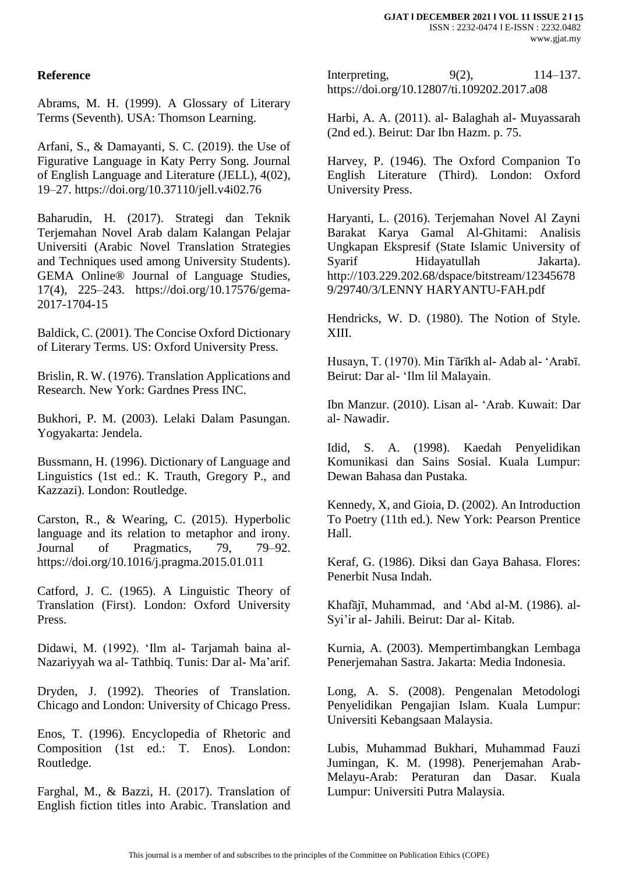## **Reference**

Abrams, M. H. (1999). A Glossary of Literary Terms (Seventh). USA: Thomson Learning.

Arfani, S., & Damayanti, S. C. (2019). the Use of Figurative Language in Katy Perry Song. Journal of English Language and Literature (JELL), 4(02), 19–27. https://doi.org/10.37110/jell.v4i02.76

Baharudin, H. (2017). Strategi dan Teknik Terjemahan Novel Arab dalam Kalangan Pelajar Universiti (Arabic Novel Translation Strategies and Techniques used among University Students). GEMA Online® Journal of Language Studies, 17(4), 225–243. https://doi.org/10.17576/gema-2017-1704-15

Baldick, C. (2001). The Concise Oxford Dictionary of Literary Terms. US: Oxford University Press.

Brislin, R. W. (1976). Translation Applications and Research. New York: Gardnes Press INC.

Bukhori, P. M. (2003). Lelaki Dalam Pasungan. Yogyakarta: Jendela.

Bussmann, H. (1996). Dictionary of Language and Linguistics (1st ed.: K. Trauth, Gregory P., and Kazzazi). London: Routledge.

Carston, R., & Wearing, C. (2015). Hyperbolic language and its relation to metaphor and irony. Journal of Pragmatics, 79, 79–92. https://doi.org/10.1016/j.pragma.2015.01.011

Catford, J. C. (1965). A Linguistic Theory of Translation (First). London: Oxford University Press.

Didawi, M. (1992). 'Ilm al- Tarjamah baina al-Nazariyyah wa al- Tathbiq. Tunis: Dar al- Ma'arif.

Dryden, J. (1992). Theories of Translation. Chicago and London: University of Chicago Press.

Enos, T. (1996). Encyclopedia of Rhetoric and Composition (1st ed.: T. Enos). London: Routledge.

Farghal, M., & Bazzi, H. (2017). Translation of English fiction titles into Arabic. Translation and Interpreting, 9(2), 114–137. https://doi.org/10.12807/ti.109202.2017.a08

Harbi, A. A. (2011). al- Balaghah al- Muyassarah (2nd ed.). Beirut: Dar Ibn Hazm. p. 75.

Harvey, P. (1946). The Oxford Companion To English Literature (Third). London: Oxford University Press.

Haryanti, L. (2016). Terjemahan Novel Al Zayni Barakat Karya Gamal Al-Ghitami: Analisis Ungkapan Ekspresif (State Islamic University of Syarif Hidayatullah Jakarta). http://103.229.202.68/dspace/bitstream/12345678 9/29740/3/LENNY HARYANTU-FAH.pdf

Hendricks, W. D. (1980). The Notion of Style. XIII.

Husayn, T. (1970). Min Tārīkh al- Adab al- 'Arabī. Beirut: Dar al- 'Ilm lil Malayain.

Ibn Manzur. (2010). Lisan al- 'Arab. Kuwait: Dar al- Nawadir.

Idid, S. A. (1998). Kaedah Penyelidikan Komunikasi dan Sains Sosial. Kuala Lumpur: Dewan Bahasa dan Pustaka.

Kennedy, X, and Gioia, D. (2002). An Introduction To Poetry (11th ed.). New York: Pearson Prentice Hall.

Keraf, G. (1986). Diksi dan Gaya Bahasa. Flores: Penerbit Nusa Indah.

Khafājī, Muhammad, and 'Abd al-M. (1986). al-Syi'ir al- Jahili. Beirut: Dar al- Kitab.

Kurnia, A. (2003). Mempertimbangkan Lembaga Penerjemahan Sastra. Jakarta: Media Indonesia.

Long, A. S. (2008). Pengenalan Metodologi Penyelidikan Pengajian Islam. Kuala Lumpur: Universiti Kebangsaan Malaysia.

Lubis, Muhammad Bukhari, Muhammad Fauzi Jumingan, K. M. (1998). Penerjemahan Arab-Melayu-Arab: Peraturan dan Dasar. Kuala Lumpur: Universiti Putra Malaysia.